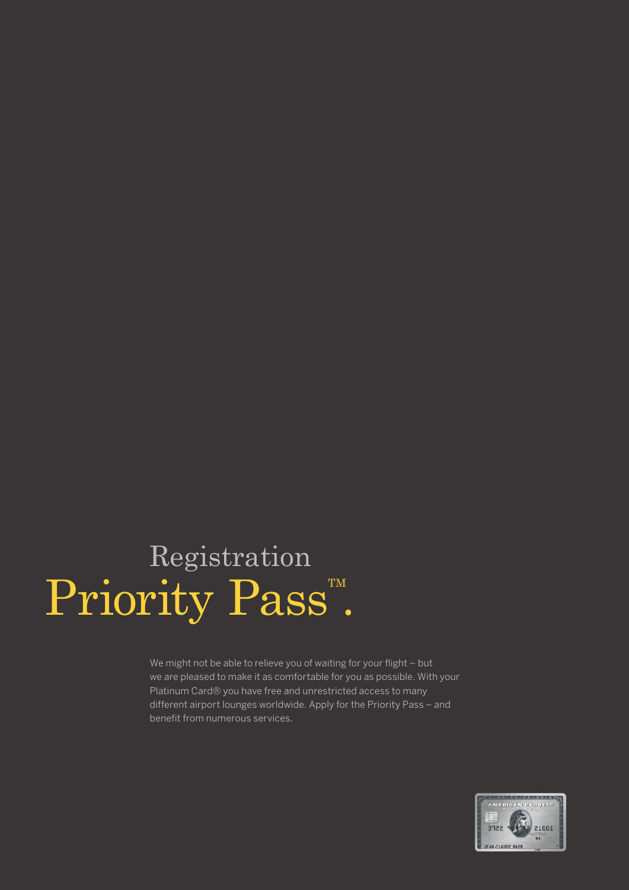# Priority Pass". Registration

We might not be able to relieve you of waiting for your flight - but we are pleased to make it as comfortable for you as possible. With your Platinum Card® you have free and unrestricted access to many different airport lounges worldwide. Apply for the Priority Pass – and benefit from numerous services.